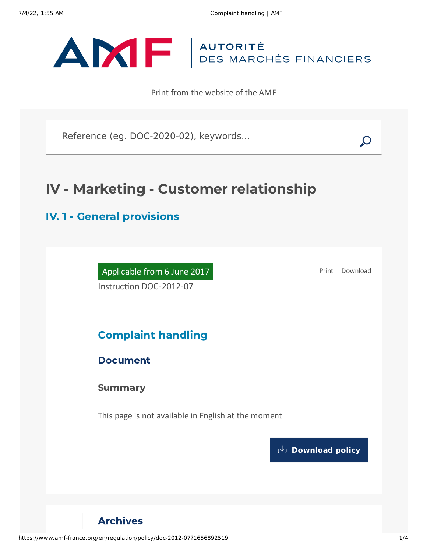

Print from the website of the AMF

Reference (eg. DOC-2020-02), keywords...

# IV - Marketing - Customer relationship

## IV. 1 - General provisions

Applicable from 6 June 2017 Instruction DOC-2012-07

[Print](javascript:window.print()) [Download](https://www.amf-france.org/sites/default/files/pdf/62975/en/Complaint_handling.pdf?1656892520)

## Complaint handling

## Document

**Summary** 

This page is not available in English at the moment

**[Download](https://www.amf-france.org/sites/default/files/pdf/62975/en/Complaint_handling.pdf?1656892520?1656892520) policy**

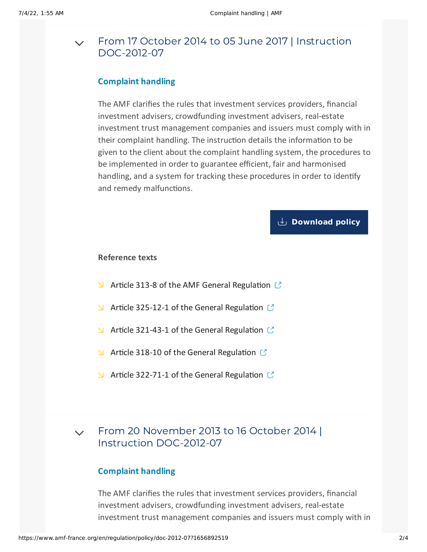#### From 17 October 2014 to 05 June 2017 | Instruction [DOC-2012-07](#page-1-0)  $\vee$

## **Complaint handling**

<span id="page-1-0"></span>The AMF clarifies the rules that investment services providers, financial investment advisers, crowdfunding investment advisers, real-estate investment trust management companies and issuers must comply with in their complaint handling. The instruction details the information to be given to the client about the complaint handling system, the procedures to be implemented in order to guarantee efficient, fair and harmonised handling, and a system for tracking these procedures in order to identify and remedy malfunctions.

## **[Download](https://www.amf-france.org/sites/default/files/private/2020-10/20141017-complaint-handling.pdf) policy**

### **Reference texts**

- $\blacktriangleright$  Article 313-8 of the AMF General [Regulation](https://reglement-general.amf-france.org/eli/fr/aai/amf/rg/article/313-8/20120901/en.html)  $\mathbb{C}$
- $\blacktriangleright$  Article 325-12-1 of the General [Regulation](https://reglement-general.amf-france.org/eli/fr/aai/amf/rg/article/325-12-1/20120901/en.html)  $\mathbb{C}$
- $\blacktriangleright$  Article 321-43-1 of the General [Regulation](https://reglement-general.amf-france.org/eli/fr/aai/amf/rg/article/321-43-1/20120901/en.html)  $\mathbb{C}$
- $\blacktriangleright$  Article 318-10 of the General [Regulation](https://reglement-general.amf-france.org/eli/fr/aai/amf/rg/article/318-10/20130814/en.html)  $\mathbb{C}$
- $\blacktriangleright$  Article 322-71-1 of the General [Regulation](https://reglement-general.amf-france.org/eli/fr/aai/amf/rg/article/322-71-1/20130419/en.html)  $\mathbb{C}$

#### From 20 November 2013 to 16 October 2014 | Instruction [DOC-2012-07](#page-1-1)  $\vee$

## **Complaint handling**

<span id="page-1-1"></span>The AMF clarifies the rules that investment services providers, financial investment advisers, crowdfunding investment advisers, real-estate investment trust management companies and issuers must comply with in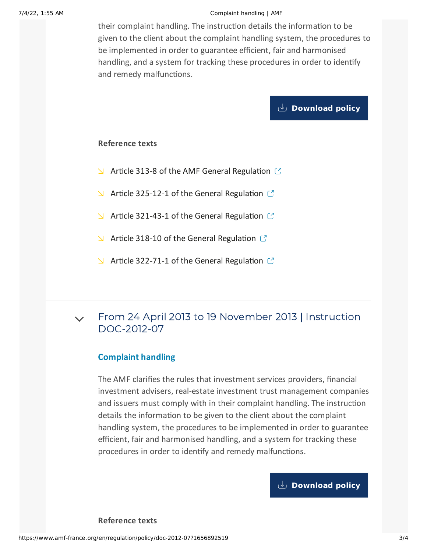#### 7/4/22, 1:55 AM Complaint handling | AMF

their complaint handling. The instruction details the information to be given to the client about the complaint handling system, the procedures to be implemented in order to guarantee efficient, fair and harmonised handling, and a system for tracking these procedures in order to identify and remedy malfunctions.

## **[Download](https://www.amf-france.org/sites/default/files/private/2020-10/20131120-complaint-handling.pdf) policy**

### **Reference texts**

- $\blacktriangle$  Article 313-8 of the AMF General [Regulation](https://reglement-general.amf-france.org/eli/fr/aai/amf/rg/article/313-8//notes/en.html)  $\mathbb{C}$
- $\blacktriangle$  Article 325-12-1 of the General [Regulation](https://reglement-general.amf-france.org/eli/fr/aai/amf/rg/article/325-12/20120901/notes/en.html)  $\mathbb{C}$
- $\blacktriangle$  Article 321-43-1 of the General [Regulation](https://reglement-general.amf-france.org/eli/fr/aai/amf/rg/article/321-43/20120901/notes/en.html)  $\mathbb{C}$
- $\blacktriangleright$  Article 318-10 of the General [Regulation](https://reglement-general.amf-france.org/eli/fr/aai/amf/rg/article/318-10/20130814/notes/en.html)  $\mathbb{C}$
- $\blacktriangleright$  Article 322-71-1 of the General [Regulation](https://reglement-general.amf-france.org/eli/fr/aai/amf/rg/article/322-71/20130419/notes/en.html)  $\mathbb{C}$

#### From 24 April 2013 to 19 November 2013 | Instruction [DOC-2012-07](#page-2-0)  $\vee$

## **Complaint handling**

<span id="page-2-0"></span>The AMF clarifies the rules that investment services providers, financial investment advisers, real-estate investment trust management companies and issuers must comply with in their complaint handling. The instruction details the information to be given to the client about the complaint handling system, the procedures to be implemented in order to guarantee efficient, fair and harmonised handling, and a system for tracking these procedures in order to identify and remedy malfunctions.

## **[Download](https://www.amf-france.org/sites/default/files/private/2020-10/20130424-complaint-handling.pdf) policy**

**Reference texts**